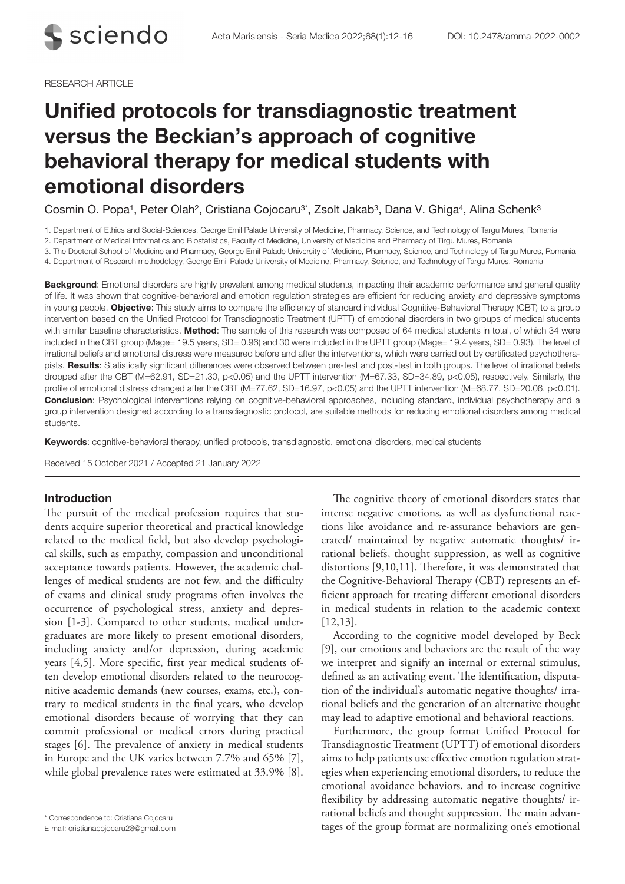#### RESEARCH ARTICLE

# Unified protocols for transdiagnostic treatment versus the Beckian's approach of cognitive behavioral therapy for medical students with emotional disorders

Cosmin O. Popa<sup>1</sup>, Peter Olah<sup>2</sup>, Cristiana Cojocaru<sup>3\*</sup>, Zsolt Jakab<sup>3</sup>, Dana V. Ghiga<sup>4</sup>, Alina Schenk<sup>3</sup>

1. Department of Ethics and Social-Sciences, George Emil Palade University of Medicine, Pharmacy, Science, and Technology of Targu Mures, Romania

2. Department of Medical Informatics and Biostatistics, Faculty of Medicine, University of Medicine and Pharmacy of Tirgu Mures, Romania

3. The Doctoral School of Medicine and Pharmacy, George Emil Palade University of Medicine, Pharmacy, Science, and Technology of Targu Mures, Romania

4. Department of Research methodology, George Emil Palade University of Medicine, Pharmacy, Science, and Technology of Targu Mures, Romania

Background: Emotional disorders are highly prevalent among medical students, impacting their academic performance and general quality of life. It was shown that cognitive-behavioral and emotion regulation strategies are efficient for reducing anxiety and depressive symptoms in young people. Objective: This study aims to compare the efficiency of standard individual Cognitive-Behavioral Therapy (CBT) to a group intervention based on the Unified Protocol for Transdiagnostic Treatment (UPTT) of emotional disorders in two groups of medical students with similar baseline characteristics. Method: The sample of this research was composed of 64 medical students in total, of which 34 were included in the CBT group (Mage= 19.5 years, SD= 0.96) and 30 were included in the UPTT group (Mage= 19.4 years, SD= 0.93). The level of irrational beliefs and emotional distress were measured before and after the interventions, which were carried out by certificated psychotherapists. Results: Statistically significant differences were observed between pre-test and post-test in both groups. The level of irrational beliefs dropped after the CBT (M=62.91, SD=21.30, p<0.05) and the UPTT intervention (M=67.33, SD=34.89, p<0.05), respectively. Similarly, the profile of emotional distress changed after the CBT (M=77.62, SD=16.97, p<0.05) and the UPTT intervention (M=68.77, SD=20.06, p<0.01). Conclusion: Psychological interventions relying on cognitive-behavioral approaches, including standard, individual psychotherapy and a group intervention designed according to a transdiagnostic protocol, are suitable methods for reducing emotional disorders among medical students.

Keywords: cognitive-behavioral therapy, unified protocols, transdiagnostic, emotional disorders, medical students

Received 15 October 2021 / Accepted 21 January 2022

# Introduction

The pursuit of the medical profession requires that students acquire superior theoretical and practical knowledge related to the medical field, but also develop psychological skills, such as empathy, compassion and unconditional acceptance towards patients. However, the academic challenges of medical students are not few, and the difficulty of exams and clinical study programs often involves the occurrence of psychological stress, anxiety and depression [1-3]. Compared to other students, medical undergraduates are more likely to present emotional disorders, including anxiety and/or depression, during academic years [4,5]. More specific, first year medical students often develop emotional disorders related to the neurocognitive academic demands (new courses, exams, etc.), contrary to medical students in the final years, who develop emotional disorders because of worrying that they can commit professional or medical errors during practical stages [6]. The prevalence of anxiety in medical students in Europe and the UK varies between 7.7% and 65% [7], while global prevalence rates were estimated at 33.9% [8].

The cognitive theory of emotional disorders states that intense negative emotions, as well as dysfunctional reactions like avoidance and re-assurance behaviors are generated/ maintained by negative automatic thoughts/ irrational beliefs, thought suppression, as well as cognitive distortions [9,10,11]. Therefore, it was demonstrated that the Cognitive-Behavioral Therapy (CBT) represents an efficient approach for treating different emotional disorders in medical students in relation to the academic context [12,13].

According to the cognitive model developed by Beck [9], our emotions and behaviors are the result of the way we interpret and signify an internal or external stimulus, defined as an activating event. The identification, disputation of the individual's automatic negative thoughts/ irrational beliefs and the generation of an alternative thought may lead to adaptive emotional and behavioral reactions.

Furthermore, the group format Unified Protocol for Transdiagnostic Treatment (UPTT) of emotional disorders aims to help patients use effective emotion regulation strategies when experiencing emotional disorders, to reduce the emotional avoidance behaviors, and to increase cognitive flexibility by addressing automatic negative thoughts/ irrational beliefs and thought suppression. The main advantational terms and thought suppression. The main advantages of the group format are normalizing one's emotional<br>E-mail: cristianacojocaru28@gmail.com and tages of the group format are normalizing one's emotional

E-mail: cristianacojocaru28@gmail.com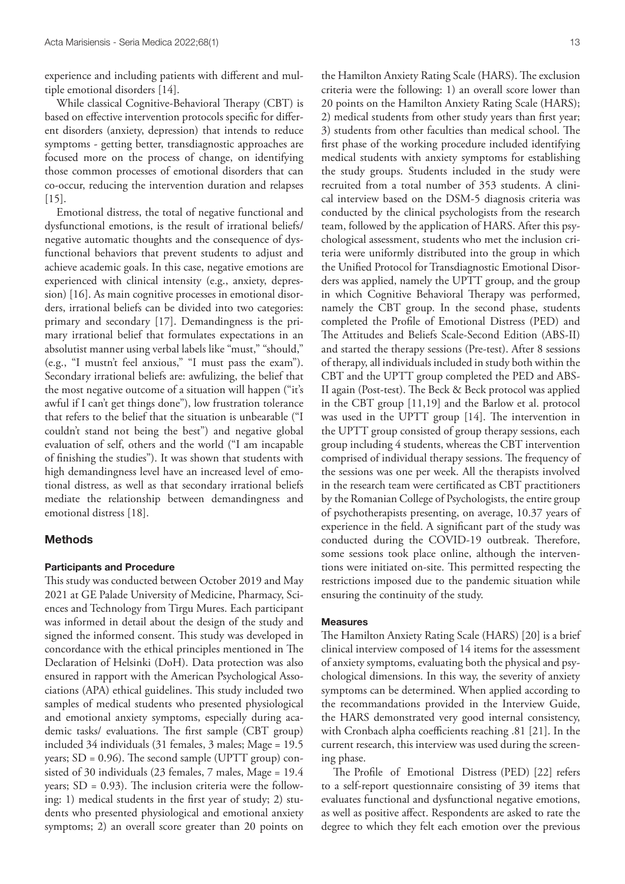experience and including patients with different and multiple emotional disorders [14].

While classical Cognitive-Behavioral Therapy (CBT) is based on effective intervention protocols specific for different disorders (anxiety, depression) that intends to reduce symptoms - getting better, transdiagnostic approaches are focused more on the process of change, on identifying those common processes of emotional disorders that can co-occur, reducing the intervention duration and relapses [15].

Emotional distress, the total of negative functional and dysfunctional emotions, is the result of irrational beliefs/ negative automatic thoughts and the consequence of dysfunctional behaviors that prevent students to adjust and achieve academic goals. In this case, negative emotions are experienced with clinical intensity (e.g., anxiety, depression) [16]. As main cognitive processes in emotional disorders, irrational beliefs can be divided into two categories: primary and secondary [17]. Demandingness is the primary irrational belief that formulates expectations in an absolutist manner using verbal labels like "must," "should," (e.g., "I mustn't feel anxious," "I must pass the exam"). Secondary irrational beliefs are: awfulizing, the belief that the most negative outcome of a situation will happen ("it's awful if I can't get things done"), low frustration tolerance that refers to the belief that the situation is unbearable ("I couldn't stand not being the best") and negative global evaluation of self, others and the world ("I am incapable of finishing the studies"). It was shown that students with high demandingness level have an increased level of emotional distress, as well as that secondary irrational beliefs mediate the relationship between demandingness and emotional distress [18].

## Methods

# Participants and Procedure

This study was conducted between October 2019 and May 2021 at GE Palade University of Medicine, Pharmacy, Sciences and Technology from Tirgu Mures. Each participant was informed in detail about the design of the study and signed the informed consent. This study was developed in concordance with the ethical principles mentioned in The Declaration of Helsinki (DoH). Data protection was also ensured in rapport with the American Psychological Associations (APA) ethical guidelines. This study included two samples of medical students who presented physiological and emotional anxiety symptoms, especially during academic tasks/ evaluations. The first sample (CBT group) included 34 individuals (31 females, 3 males; Mage = 19.5 years;  $SD = 0.96$ ). The second sample (UPTT group) consisted of 30 individuals (23 females, 7 males, Mage = 19.4 years; SD = 0.93). The inclusion criteria were the following: 1) medical students in the first year of study; 2) students who presented physiological and emotional anxiety symptoms; 2) an overall score greater than 20 points on

the Hamilton Anxiety Rating Scale (HARS). The exclusion criteria were the following: 1) an overall score lower than 20 points on the Hamilton Anxiety Rating Scale (HARS); 2) medical students from other study years than first year; 3) students from other faculties than medical school. The first phase of the working procedure included identifying medical students with anxiety symptoms for establishing the study groups. Students included in the study were recruited from a total number of 353 students. A clinical interview based on the DSM-5 diagnosis criteria was conducted by the clinical psychologists from the research team, followed by the application of HARS. After this psychological assessment, students who met the inclusion criteria were uniformly distributed into the group in which the Unified Protocol for Transdiagnostic Emotional Disorders was applied, namely the UPTT group, and the group in which Cognitive Behavioral Therapy was performed, namely the CBT group. In the second phase, students completed the Profile of Emotional Distress (PED) and The Attitudes and Beliefs Scale-Second Edition (ABS-II) and started the therapy sessions (Pre-test). After 8 sessions of therapy, all individuals included in study both within the CBT and the UPTT group completed the PED and ABS-II again (Post-test). The Beck & Beck protocol was applied in the CBT group [11,19] and the Barlow et al. protocol was used in the UPTT group [14]. The intervention in the UPTT group consisted of group therapy sessions, each group including 4 students, whereas the CBT intervention comprised of individual therapy sessions. The frequency of the sessions was one per week. All the therapists involved in the research team were certificated as CBT practitioners by the Romanian College of Psychologists, the entire group of psychotherapists presenting, on average, 10.37 years of experience in the field. A significant part of the study was conducted during the COVID-19 outbreak. Therefore, some sessions took place online, although the interventions were initiated on-site. This permitted respecting the restrictions imposed due to the pandemic situation while ensuring the continuity of the study.

## Measures

The Hamilton Anxiety Rating Scale (HARS) [20] is a brief clinical interview composed of 14 items for the assessment of anxiety symptoms, evaluating both the physical and psychological dimensions. In this way, the severity of anxiety symptoms can be determined. When applied according to the recommandations provided in the Interview Guide, the HARS demonstrated very good internal consistency, with Cronbach alpha coefficients reaching .81 [21]. In the current research, this interview was used during the screening phase.

The Profile of Emotional Distress (PED) [22] refers to a self-report questionnaire consisting of 39 items that evaluates functional and dysfunctional negative emotions, as well as positive affect. Respondents are asked to rate the degree to which they felt each emotion over the previous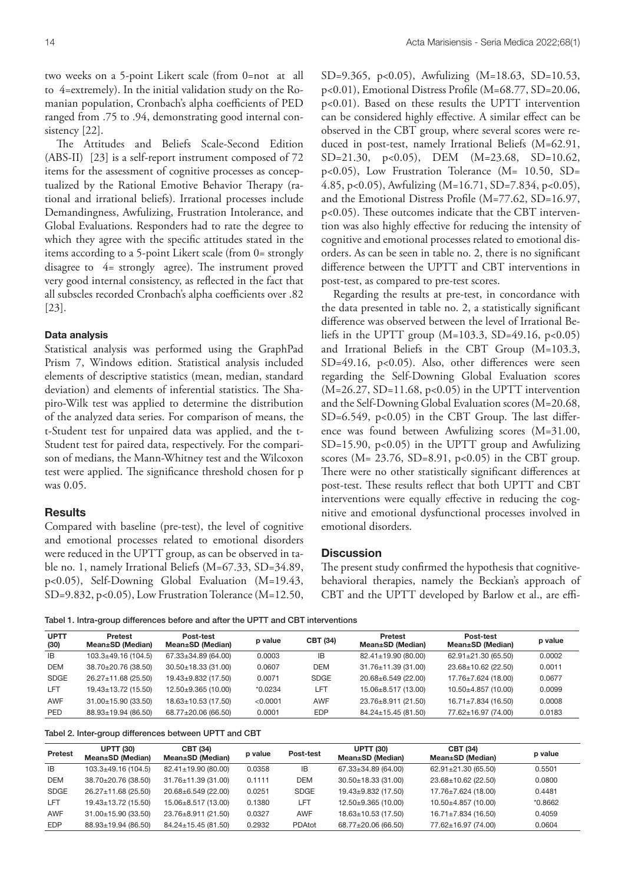two weeks on a 5-point Likert scale (from 0=not at all to 4=extremely). In the initial validation study on the Romanian population, Cronbach's alpha coefficients of PED ranged from .75 to .94, demonstrating good internal consistency [22].

The Attitudes and Beliefs Scale-Second Edition (ABS-II) [23] is a self-report instrument composed of 72 items for the assessment of cognitive processes as conceptualized by the Rational Emotive Behavior Therapy (rational and irrational beliefs). Irrational processes include Demandingness, Awfulizing, Frustration Intolerance, and Global Evaluations. Responders had to rate the degree to which they agree with the specific attitudes stated in the items according to a 5-point Likert scale (from 0= strongly disagree to 4= strongly agree). The instrument proved very good internal consistency, as reflected in the fact that all subscles recorded Cronbach's alpha coefficients over .82 [23].

#### Data analysis

Statistical analysis was performed using the GraphPad Prism 7, Windows edition. Statistical analysis included elements of descriptive statistics (mean, median, standard deviation) and elements of inferential statistics. The Shapiro-Wilk test was applied to determine the distribution of the analyzed data series. For comparison of means, the t-Student test for unpaired data was applied, and the t-Student test for paired data, respectively. For the comparison of medians, the Mann-Whitney test and the Wilcoxon test were applied. The significance threshold chosen for p was 0.05.

## **Results**

Compared with baseline (pre-test), the level of cognitive and emotional processes related to emotional disorders were reduced in the UPTT group, as can be observed in table no. 1, namely Irrational Beliefs (M=67.33, SD=34.89, p<0.05), Self-Downing Global Evaluation (M=19.43, SD=9.832, p<0.05), Low Frustration Tolerance (M=12.50, SD=9.365, p<0.05), Awfulizing (M=18.63, SD=10.53, p<0.01), Emotional Distress Profile (M=68.77, SD=20.06, p<0.01). Based on these results the UPTT intervention can be considered highly effective. A similar effect can be observed in the CBT group, where several scores were reduced in post-test, namely Irrational Beliefs (M=62.91, SD=21.30, p<0.05), DEM (M=23.68, SD=10.62, p<0.05), Low Frustration Tolerance (M= 10.50, SD= 4.85, p<0.05), Awfulizing (M=16.71, SD=7.834, p<0.05), and the Emotional Distress Profile (M=77.62, SD=16.97, p<0.05). These outcomes indicate that the CBT intervention was also highly effective for reducing the intensity of cognitive and emotional processes related to emotional disorders. As can be seen in table no. 2, there is no significant difference between the UPTT and CBT interventions in post-test, as compared to pre-test scores.

Regarding the results at pre-test, in concordance with the data presented in table no. 2, a statistically significant difference was observed between the level of Irrational Beliefs in the UPTT group  $(M=103.3, SD=49.16, p<0.05)$ and Irrational Beliefs in the CBT Group (M=103.3, SD=49.16, p<0.05). Also, other differences were seen regarding the Self-Downing Global Evaluation scores  $(M=26.27, SD=11.68, p<0.05)$  in the UPTT intervention and the Self-Downing Global Evaluation scores (M=20.68, SD=6.549, p<0.05) in the CBT Group. The last difference was found between Awfulizing scores (M=31.00, SD=15.90, p<0.05) in the UPTT group and Awfulizing scores (M= 23.76, SD=8.91, p<0.05) in the CBT group. There were no other statistically significant differences at post-test. These results reflect that both UPTT and CBT interventions were equally effective in reducing the cognitive and emotional dysfunctional processes involved in emotional disorders.

### **Discussion**

The present study confirmed the hypothesis that cognitivebehavioral therapies, namely the Beckian's approach of CBT and the UPTT developed by Barlow et al., are effi-

Tabel 1. Intra-group differences before and after the UPTT and CBT interventions

| <b>UPTT</b><br>(30) | <b>Pretest</b><br>Mean±SD (Median) | Post-test<br>Mean±SD (Median) | p value   | <b>CBT (34)</b> | Pretest<br>Mean±SD (Median) | <b>Post-test</b><br>Mean±SD (Median) | p value |
|---------------------|------------------------------------|-------------------------------|-----------|-----------------|-----------------------------|--------------------------------------|---------|
| IB.                 | $103.3 \pm 49.16(104.5)$           | 67.33±34.89 (64.00)           | 0.0003    | IB              | 82.41±19.90 (80.00)         | $62.91 \pm 21.30$ (65.50)            | 0.0002  |
| <b>DEM</b>          | 38.70±20.76 (38.50)                | $30.50 \pm 18.33$ (31.00)     | 0.0607    | <b>DEM</b>      | $31.76 \pm 11.39$ (31.00)   | 23.68±10.62 (22.50)                  | 0.0011  |
| <b>SDGE</b>         | 26.27±11.68 (25.50)                | $19.43 \pm 9.832$ (17.50)     | 0.0071    | SDGE            | 20.68±6.549 (22.00)         | 17.76±7.624 (18.00)                  | 0.0677  |
| LFT                 | $19.43 \pm 13.72$ (15.50)          | $12.50 + 9.365(10.00)$        | $*0.0234$ | LFT             | 15.06±8.517 (13.00)         | $10.50\pm4.857(10.00)$               | 0.0099  |
| <b>AWF</b>          | $31.00 \pm 15.90$ (33.50)          | $18.63 \pm 10.53$ (17.50)     | < 0.0001  | <b>AWF</b>      | 23.76±8.911 (21.50)         | $16.71 \pm 7.834$ (16.50)            | 0.0008  |
| PED                 | 88.93±19.94 (86.50)                | 68.77±20.06 (66.50)           | 0.0001    | <b>EDP</b>      | 84.24±15.45 (81.50)         | 77.62±16.97 (74.00)                  | 0.0183  |

Tabel 2. Inter-group differences between UPTT and CBT

| <b>Pretest</b> | <b>UPTT (30)</b><br>Mean±SD (Median) | <b>CBT (34)</b><br>Mean±SD (Median) | p value | Post-test   | <b>UPTT (30)</b><br>Mean±SD (Median) | <b>CBT (34)</b><br>Mean±SD (Median) | p value   |
|----------------|--------------------------------------|-------------------------------------|---------|-------------|--------------------------------------|-------------------------------------|-----------|
| <b>IB</b>      | $103.3 \pm 49.16$ (104.5)            | 82.41±19.90 (80.00)                 | 0.0358  | IB          | 67.33±34.89 (64.00)                  | 62.91±21.30 (65.50)                 | 0.5501    |
| <b>DEM</b>     | 38.70±20.76 (38.50)                  | $31.76 \pm 11.39$ (31.00)           | 0.1111  | <b>DEM</b>  | $30.50 \pm 18.33$ (31.00)            | 23.68±10.62 (22.50)                 | 0.0800    |
| <b>SDGE</b>    | 26.27±11.68 (25.50)                  | 20.68±6.549 (22.00)                 | 0.0251  | <b>SDGE</b> | $19.43 \pm 9.832$ (17.50)            | 17.76±7.624 (18.00)                 | 0.4481    |
| LFT            | 19.43±13.72 (15.50)                  | 15.06±8.517 (13.00)                 | 0.1380  | <b>LFT</b>  | 12.50±9.365 (10.00)                  | 10.50±4.857 (10.00)                 | $*0.8662$ |
| AWF            | 31.00±15.90 (33.50)                  | 23.76±8.911 (21.50)                 | 0.0327  | <b>AWF</b>  | 18.63±10.53 (17.50)                  | $16.71 \pm 7.834$ (16.50)           | 0.4059    |
| <b>EDP</b>     | 88.93±19.94 (86.50)                  | 84.24±15.45 (81.50)                 | 0.2932  | PDAtot      | 68.77±20.06 (66.50)                  | 77.62±16.97 (74.00)                 | 0.0604    |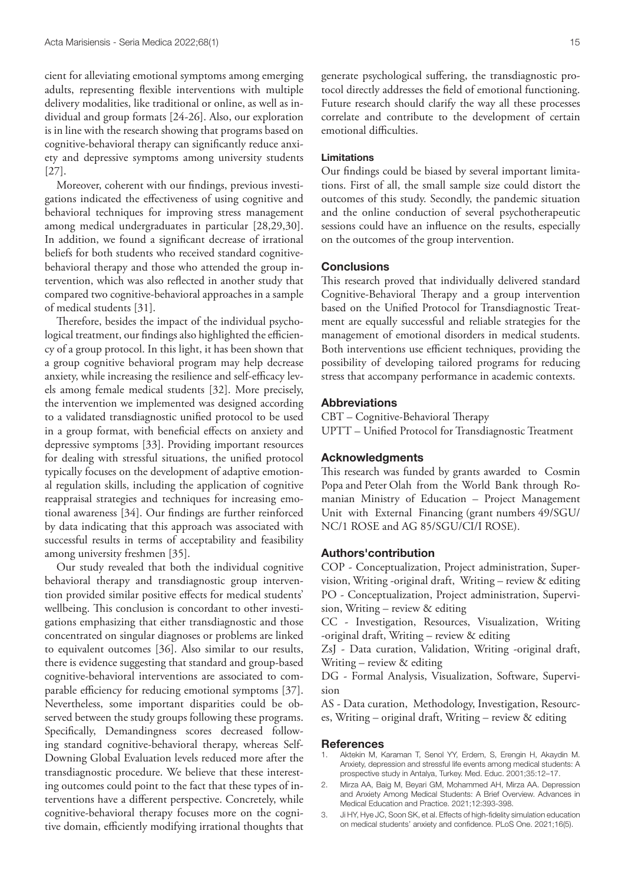cient for alleviating emotional symptoms among emerging adults, representing flexible interventions with multiple delivery modalities, like traditional or online, as well as individual and group formats [24-26]. Also, our exploration is in line with the research showing that programs based on cognitive-behavioral therapy can significantly reduce anxiety and depressive symptoms among university students [27].

Moreover, coherent with our findings, previous investigations indicated the effectiveness of using cognitive and behavioral techniques for improving stress management among medical undergraduates in particular [28,29,30]. In addition, we found a significant decrease of irrational beliefs for both students who received standard cognitivebehavioral therapy and those who attended the group intervention, which was also reflected in another study that compared two cognitive-behavioral approaches in a sample of medical students [31].

Therefore, besides the impact of the individual psychological treatment, our findings also highlighted the efficiency of a group protocol. In this light, it has been shown that a group cognitive behavioral program may help decrease anxiety, while increasing the resilience and self-efficacy levels among female medical students [32]. More precisely, the intervention we implemented was designed according to a validated transdiagnostic unified protocol to be used in a group format, with beneficial effects on anxiety and depressive symptoms [33]. Providing important resources for dealing with stressful situations, the unified protocol typically focuses on the development of adaptive emotional regulation skills, including the application of cognitive reappraisal strategies and techniques for increasing emotional awareness [34]. Our findings are further reinforced by data indicating that this approach was associated with successful results in terms of acceptability and feasibility among university freshmen [35].

Our study revealed that both the individual cognitive behavioral therapy and transdiagnostic group intervention provided similar positive effects for medical students' wellbeing. This conclusion is concordant to other investigations emphasizing that either transdiagnostic and those concentrated on singular diagnoses or problems are linked to equivalent outcomes [36]. Also similar to our results, there is evidence suggesting that standard and group-based cognitive-behavioral interventions are associated to comparable efficiency for reducing emotional symptoms [37]. Nevertheless, some important disparities could be observed between the study groups following these programs. Specifically, Demandingness scores decreased following standard cognitive-behavioral therapy, whereas Self-Downing Global Evaluation levels reduced more after the transdiagnostic procedure. We believe that these interesting outcomes could point to the fact that these types of interventions have a different perspective. Concretely, while cognitive-behavioral therapy focuses more on the cognitive domain, efficiently modifying irrational thoughts that

generate psychological suffering, the transdiagnostic protocol directly addresses the field of emotional functioning. Future research should clarify the way all these processes correlate and contribute to the development of certain emotional difficulties.

# Limitations

Our findings could be biased by several important limitations. First of all, the small sample size could distort the outcomes of this study. Secondly, the pandemic situation and the online conduction of several psychotherapeutic sessions could have an influence on the results, especially on the outcomes of the group intervention.

#### **Conclusions**

This research proved that individually delivered standard Cognitive-Behavioral Therapy and a group intervention based on the Unified Protocol for Transdiagnostic Treatment are equally successful and reliable strategies for the management of emotional disorders in medical students. Both interventions use efficient techniques, providing the possibility of developing tailored programs for reducing stress that accompany performance in academic contexts.

#### Abbreviations

CBT – Cognitive-Behavioral Therapy UPTT – Unified Protocol for Transdiagnostic Treatment

# Acknowledgments

This research was funded by grants awarded to Cosmin Popa and Peter Olah from the World Bank through Romanian Ministry of Education – Project Management Unit with External Financing (grant numbers 49/SGU/ NC/1 ROSE and AG 85/SGU/CI/I ROSE).

## Authors'contribution

COP - Conceptualization, Project administration, Supervision, Writing -original draft, Writing – review & editing PO - Conceptualization, Project administration, Supervision, Writing – review & editing

CC - Investigation, Resources, Visualization, Writing -original draft, Writing – review & editing

ZsJ - Data curation, Validation, Writing -original draft, Writing – review & editing

DG - Formal Analysis, Visualization, Software, Supervision

AS - Data curation, Methodology, Investigation, Resources, Writing – original draft, Writing – review & editing

#### **References**

- 1. Aktekin M, Karaman T, Senol YY, Erdem, S, Erengin H, Akaydin M. Anxiety, depression and stressful life events among medical students: A prospective study in Antalya, Turkey. Med. Educ. 2001;35:12–17.
- 2. Mirza AA, Baig M, Beyari GM, Mohammed AH, Mirza AA. Depression and Anxiety Among Medical Students: A Brief Overview. Advances in Medical Education and Practice. 2021;12:393-398.
- 3. Ji HY, Hye JC, Soon SK, et al. Effects of high-fidelity simulation education on medical students' anxiety and confidence. PLoS One. 2021;16(5).